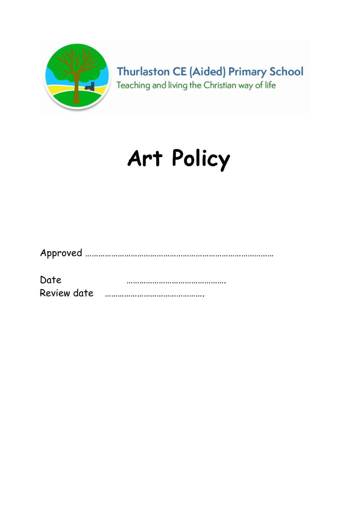

**Thurlaston CE (Aided) Primary School** Teaching and living the Christian way of life

# Art Policy

|--|--|

| Date        |  |
|-------------|--|
| Review date |  |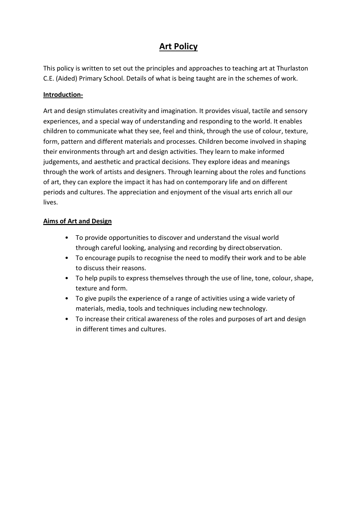# Art Policy

This policy is written to set out the principles and approaches to teaching art at Thurlaston C.E. (Aided) Primary School. Details of what is being taught are in the schemes of work.

# Introduction-

Art and design stimulates creativity and imagination. It provides visual, tactile and sensory experiences, and a special way of understanding and responding to the world. It enables children to communicate what they see, feel and think, through the use of colour, texture, form, pattern and different materials and processes. Children become involved in shaping their environments through art and design activities. They learn to make informed judgements, and aesthetic and practical decisions. They explore ideas and meanings through the work of artists and designers. Through learning about the roles and functions of art, they can explore the impact it has had on contemporary life and on different periods and cultures. The appreciation and enjoyment of the visual arts enrich all our lives.

#### Aims of Art and Design

- To provide opportunities to discover and understand the visual world through careful looking, analysing and recording by direct observation.
- To encourage pupils to recognise the need to modify their work and to be able to discuss their reasons.
- To help pupils to express themselves through the use of line, tone, colour, shape, texture and form.
- To give pupils the experience of a range of activities using a wide variety of materials, media, tools and techniques including new technology.
- To increase their critical awareness of the roles and purposes of art and design in different times and cultures.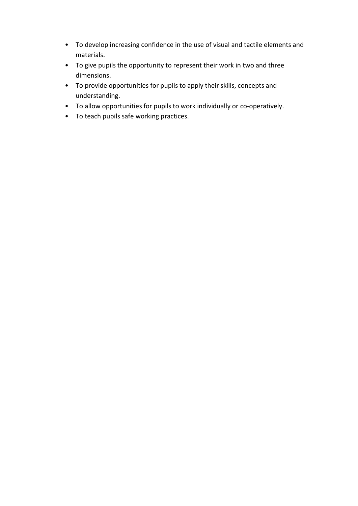- To develop increasing confidence in the use of visual and tactile elements and materials.
- To give pupils the opportunity to represent their work in two and three dimensions.
- To provide opportunities for pupils to apply their skills, concepts and understanding.
- To allow opportunities for pupils to work individually or co-operatively.
- To teach pupils safe working practices.